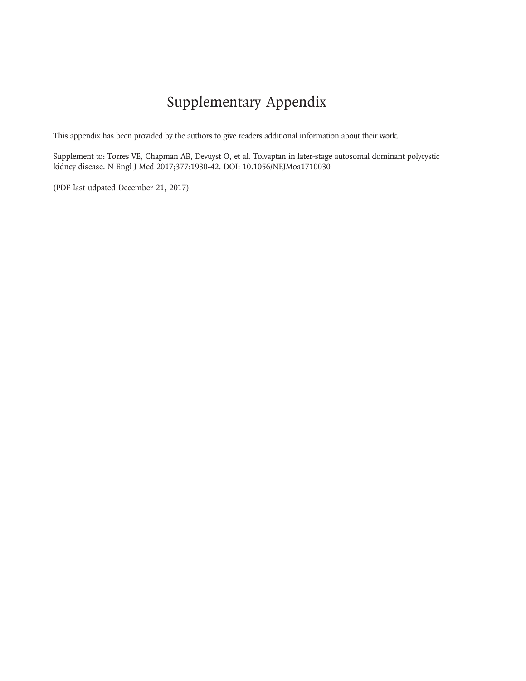# Supplementary Appendix

This appendix has been provided by the authors to give readers additional information about their work.

Supplement to: Torres VE, Chapman AB, Devuyst O, et al. Tolvaptan in later-stage autosomal dominant polycystic kidney disease. N Engl J Med 2017;377:1930-42. DOI: 10.1056/NEJMoa1710030

(PDF last udpated December 21, 2017)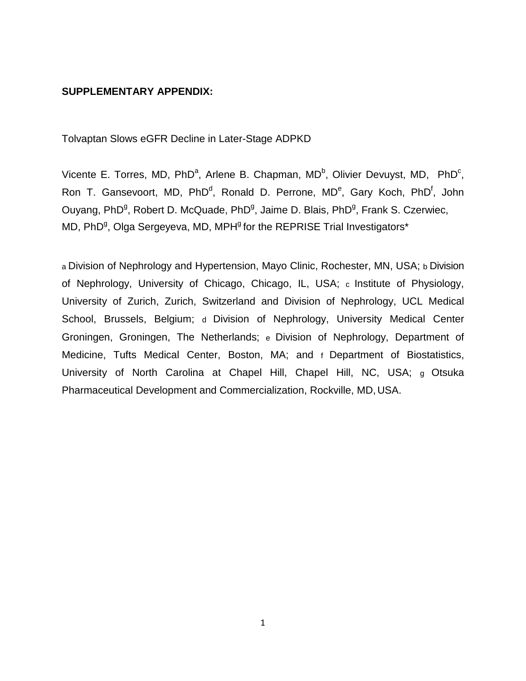#### **SUPPLEMENTARY APPENDIX:**

Tolvaptan Slows eGFR Decline in Later-Stage ADPKD

Vicente E. Torres, MD, PhD<sup>a</sup>, Arlene B. Chapman, MD<sup>b</sup>, Olivier Devuyst, MD, PhD<sup>c</sup>, Ron T. Gansevoort, MD, PhD<sup>d</sup>, Ronald D. Perrone, MD<sup>e</sup>, Gary Koch, PhD<sup>f</sup>, John Ouyang, PhD<sup>g</sup>, Robert D. McQuade, PhD<sup>g</sup>, Jaime D. Blais, PhD<sup>g</sup>, Frank S. Czerwiec, MD, PhD<sup>g</sup>, Olga Sergeyeva, MD, MPH<sup>g</sup> for the REPRISE Trial Investigators\*

a Division of Nephrology and Hypertension, Mayo Clinic, Rochester, MN, USA; b Division of Nephrology, University of Chicago, Chicago, IL, USA; c Institute of Physiology, University of Zurich, Zurich, Switzerland and Division of Nephrology, UCL Medical School, Brussels, Belgium; d Division of Nephrology, University Medical Center Groningen, Groningen, The Netherlands; e Division of Nephrology, Department of Medicine, Tufts Medical Center, Boston, MA; and f Department of Biostatistics, University of North Carolina at Chapel Hill, Chapel Hill, NC, USA; g Otsuka Pharmaceutical Development and Commercialization, Rockville, MD, USA.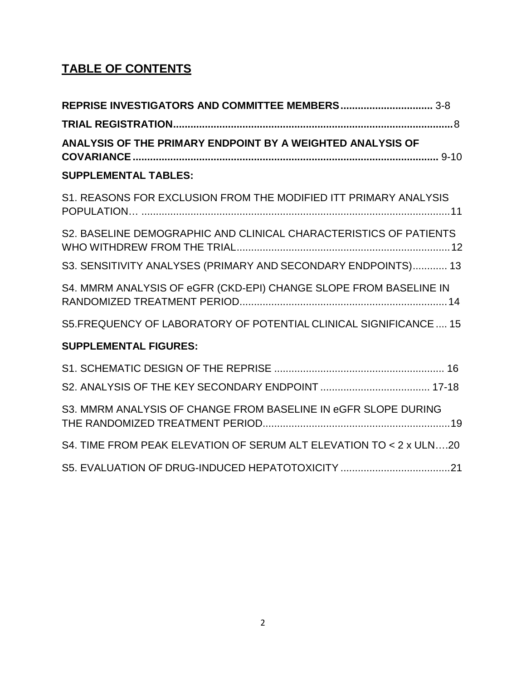## **TABLE OF CONTENTS**

| ANALYSIS OF THE PRIMARY ENDPOINT BY A WEIGHTED ANALYSIS OF         |
|--------------------------------------------------------------------|
| <b>SUPPLEMENTAL TABLES:</b>                                        |
| S1. REASONS FOR EXCLUSION FROM THE MODIFIED ITT PRIMARY ANALYSIS   |
| S2. BASELINE DEMOGRAPHIC AND CLINICAL CHARACTERISTICS OF PATIENTS  |
| S3. SENSITIVITY ANALYSES (PRIMARY AND SECONDARY ENDPOINTS) 13      |
| S4. MMRM ANALYSIS OF eGFR (CKD-EPI) CHANGE SLOPE FROM BASELINE IN  |
| S5.FREQUENCY OF LABORATORY OF POTENTIAL CLINICAL SIGNIFICANCE  15  |
| <b>SUPPLEMENTAL FIGURES:</b>                                       |
|                                                                    |
| S3. MMRM ANALYSIS OF CHANGE FROM BASELINE IN eGFR SLOPE DURING     |
| S4. TIME FROM PEAK ELEVATION OF SERUM ALT ELEVATION TO < 2 x ULN20 |
|                                                                    |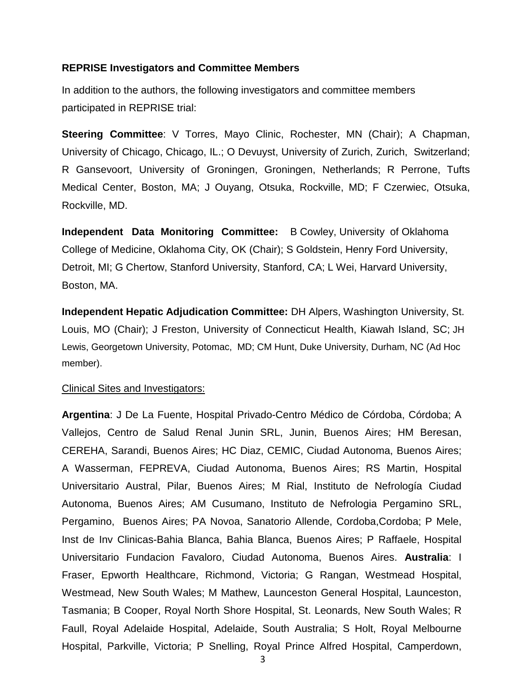#### <span id="page-3-0"></span>**REPRISE Investigators and Committee Members**

In addition to the authors, the following investigators and committee members participated in REPRISE trial:

**Steering Committee**: V Torres, Mayo Clinic, Rochester, MN (Chair); A Chapman, University of Chicago, Chicago, IL.; O Devuyst, University of Zurich, Zurich, Switzerland; R Gansevoort, University of Groningen, Groningen, Netherlands; R Perrone, Tufts Medical Center, Boston, MA; J Ouyang, Otsuka, Rockville, MD; F Czerwiec, Otsuka, Rockville, MD.

**Independent Data Monitoring Committee:** B Cowley, University of Oklahoma College of Medicine, Oklahoma City, OK (Chair); S Goldstein, Henry Ford University, Detroit, MI; G Chertow, Stanford University, Stanford, CA; L Wei, Harvard University, Boston, MA.

**Independent Hepatic Adjudication Committee:** DH Alpers, Washington University, St. Louis, MO (Chair); J Freston, University of Connecticut Health, Kiawah Island, SC; JH Lewis, Georgetown University, Potomac, MD; CM Hunt, Duke University, Durham, NC (Ad Hoc member).

#### Clinical Sites and Investigators:

**Argentina**: J De La Fuente, Hospital Privado-Centro Médico de Córdoba, Córdoba; A Vallejos, Centro de Salud Renal Junin SRL, Junin, Buenos Aires; HM Beresan, CEREHA, Sarandi, Buenos Aires; HC Diaz, CEMIC, Ciudad Autonoma, Buenos Aires; A Wasserman, FEPREVA, Ciudad Autonoma, Buenos Aires; RS Martin, Hospital Universitario Austral, Pilar, Buenos Aires; M Rial, Instituto de Nefrología Ciudad Autonoma, Buenos Aires; AM Cusumano, Instituto de Nefrologia Pergamino SRL, Pergamino, Buenos Aires; PA Novoa, Sanatorio Allende, Cordoba,Cordoba; P Mele, Inst de Inv Clinicas-Bahia Blanca, Bahia Blanca, Buenos Aires; P Raffaele, Hospital Universitario Fundacion Favaloro, Ciudad Autonoma, Buenos Aires. **Australia**: I Fraser, Epworth Healthcare, Richmond, Victoria; G Rangan, Westmead Hospital, Westmead, New South Wales; M Mathew, Launceston General Hospital, Launceston, Tasmania; B Cooper, Royal North Shore Hospital, St. Leonards, New South Wales; R Faull, Royal Adelaide Hospital, Adelaide, South Australia; S Holt, Royal Melbourne Hospital, Parkville, Victoria; P Snelling, Royal Prince Alfred Hospital, Camperdown,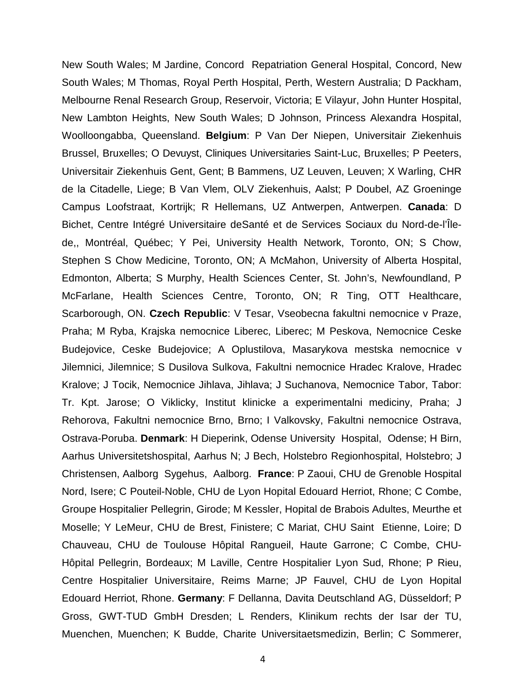New South Wales; M Jardine, Concord Repatriation General Hospital, Concord, New South Wales; M Thomas, Royal Perth Hospital, Perth, Western Australia; D Packham, Melbourne Renal Research Group, Reservoir, Victoria; E Vilayur, John Hunter Hospital, New Lambton Heights, New South Wales; D Johnson, Princess Alexandra Hospital, Woolloongabba, Queensland. **Belgium**: P Van Der Niepen, Universitair Ziekenhuis Brussel, Bruxelles; O Devuyst, Cliniques Universitaries Saint-Luc, Bruxelles; P Peeters, Universitair Ziekenhuis Gent, Gent; B Bammens, UZ Leuven, Leuven; X Warling, CHR de la Citadelle, Liege; B Van Vlem, OLV Ziekenhuis, Aalst; P Doubel, AZ Groeninge Campus Loofstraat, Kortrijk; R Hellemans, UZ Antwerpen, Antwerpen. **Canada**: D Bichet, Centre Intégré Universitaire deSanté et de Services Sociaux du Nord-de-l'Îlede,, Montréal, Québec; Y Pei, University Health Network, Toronto, ON; S Chow, Stephen S Chow Medicine, Toronto, ON; A McMahon, University of Alberta Hospital, Edmonton, Alberta; S Murphy, Health Sciences Center, St. John's, Newfoundland, P McFarlane, Health Sciences Centre, Toronto, ON; R Ting, OTT Healthcare, Scarborough, ON. **Czech Republic**: V Tesar, Vseobecna fakultni nemocnice v Praze, Praha; M Ryba, Krajska nemocnice Liberec, Liberec; M Peskova, Nemocnice Ceske Budejovice, Ceske Budejovice; A Oplustilova, Masarykova mestska nemocnice v Jilemnici, Jilemnice; S Dusilova Sulkova, Fakultni nemocnice Hradec Kralove, Hradec Kralove; J Tocik, Nemocnice Jihlava, Jihlava; J Suchanova, Nemocnice Tabor, Tabor: Tr. Kpt. Jarose; O Viklicky, Institut klinicke a experimentalni mediciny, Praha; J Rehorova, Fakultni nemocnice Brno, Brno; I Valkovsky, Fakultni nemocnice Ostrava, Ostrava-Poruba. **Denmark**: H Dieperink, Odense University Hospital, Odense; H Birn, Aarhus Universitetshospital, Aarhus N; J Bech, Holstebro Regionhospital, Holstebro; J Christensen, Aalborg Sygehus, Aalborg. **France**: P Zaoui, CHU de Grenoble Hospital Nord, Isere; C Pouteil-Noble, CHU de Lyon Hopital Edouard Herriot, Rhone; C Combe, Groupe Hospitalier Pellegrin, Girode; M Kessler, Hopital de Brabois Adultes, Meurthe et Moselle; Y LeMeur, CHU de Brest, Finistere; C Mariat, CHU Saint Etienne, Loire; D Chauveau, CHU de Toulouse Hôpital Rangueil, Haute Garrone; C Combe, CHU-Hôpital Pellegrin, Bordeaux; M Laville, Centre Hospitalier Lyon Sud, Rhone; P Rieu, Centre Hospitalier Universitaire, Reims Marne; JP Fauvel, CHU de Lyon Hopital Edouard Herriot, Rhone. **Germany**: F Dellanna, Davita Deutschland AG, Düsseldorf; P Gross, GWT-TUD GmbH Dresden; L Renders, Klinikum rechts der Isar der TU, Muenchen, Muenchen; K Budde, Charite Universitaetsmedizin, Berlin; C Sommerer,

4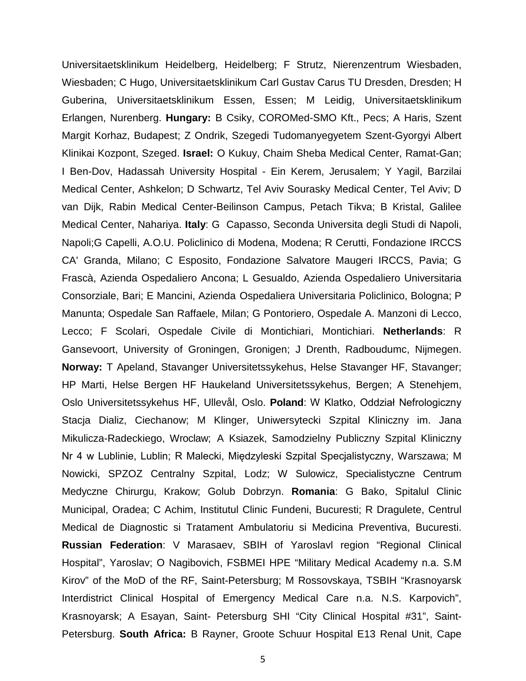Universitaetsklinikum Heidelberg, Heidelberg; F Strutz, Nierenzentrum Wiesbaden, Wiesbaden; C Hugo, Universitaetsklinikum Carl Gustav Carus TU Dresden, Dresden; H Guberina, Universitaetsklinikum Essen, Essen; M Leidig, Universitaetsklinikum Erlangen, Nurenberg. **Hungary:** B Csiky, COROMed-SMO Kft., Pecs; A Haris, Szent Margit Korhaz, Budapest; Z Ondrik, Szegedi Tudomanyegyetem Szent-Gyorgyi Albert Klinikai Kozpont, Szeged. **Israel:** O Kukuy, Chaim Sheba Medical Center, Ramat-Gan; I Ben-Dov, Hadassah University Hospital - Ein Kerem, Jerusalem; Y Yagil, Barzilai Medical Center, Ashkelon; D Schwartz, Tel Aviv Sourasky Medical Center, Tel Aviv; D van Dijk, Rabin Medical Center-Beilinson Campus, Petach Tikva; B Kristal, Galilee Medical Center, Nahariya. **Italy**: G Capasso, Seconda Universita degli Studi di Napoli, Napoli;G Capelli, A.O.U. Policlinico di Modena, Modena; R Cerutti, Fondazione IRCCS CA' Granda, Milano; C Esposito, Fondazione Salvatore Maugeri IRCCS, Pavia; G Frascà, Azienda Ospedaliero Ancona; L Gesualdo, Azienda Ospedaliero Universitaria Consorziale, Bari; E Mancini, Azienda Ospedaliera Universitaria Policlinico, Bologna; P Manunta; Ospedale San Raffaele, Milan; G Pontoriero, Ospedale A. Manzoni di Lecco, Lecco; F Scolari, Ospedale Civile di Montichiari, Montichiari. **Netherlands**: R Gansevoort, University of Groningen, Gronigen; J Drenth, Radboudumc, Nijmegen. **Norway:** T Apeland, Stavanger Universitetssykehus, Helse Stavanger HF, Stavanger; HP Marti, Helse Bergen HF Haukeland Universitetssykehus, Bergen; A Stenehjem, Oslo Universitetssykehus HF, Ullevål, Oslo. **Poland**: W Klatko, Oddział Nefrologiczny Stacja Dializ, Ciechanow; M Klinger, Uniwersytecki Szpital Kliniczny im. Jana Mikulicza-Radeckiego, Wroclaw; A Ksiazek, Samodzielny Publiczny Szpital Kliniczny Nr 4 w Lublinie, Lublin; R Malecki, Międzyleski Szpital Specjalistyczny, Warszawa; M Nowicki, SPZOZ Centralny Szpital, Lodz; W Sulowicz, Specialistyczne Centrum Medyczne Chirurgu, Krakow; Golub Dobrzyn. **Romania**: G Bako, Spitalul Clinic Municipal, Oradea; C Achim, Institutul Clinic Fundeni, Bucuresti; R Dragulete, Centrul Medical de Diagnostic si Tratament Ambulatoriu si Medicina Preventiva, Bucuresti. **Russian Federation**: V Marasaev, SBIH of Yaroslavl region "Regional Clinical Hospital", Yaroslav; O Nagibovich, FSBMEI HPE "Military Medical Academy n.a. S.M Kirov" of the MoD of the RF, Saint-Petersburg; M Rossovskaya, TSBIH "Krasnoyarsk Interdistrict Clinical Hospital of Emergency Medical Care n.a. N.S. Karpovich", Krasnoyarsk; A Esayan, Saint- Petersburg SHI "City Clinical Hospital #31", Saint-Petersburg. **South Africa:** B Rayner, Groote Schuur Hospital E13 Renal Unit, Cape

5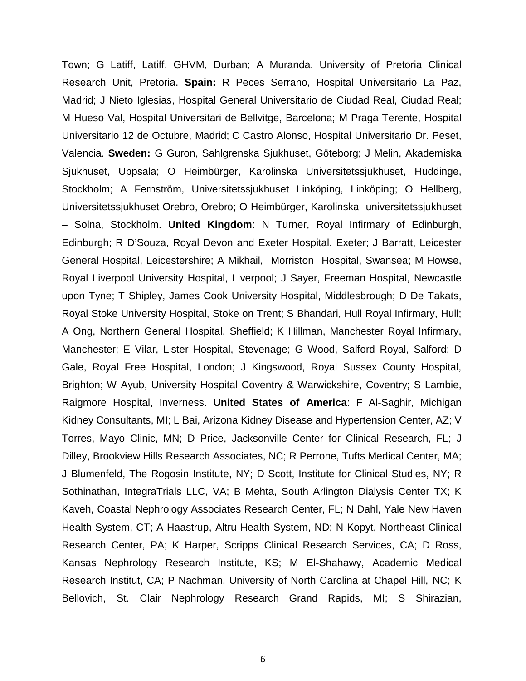Town; G Latiff, Latiff, GHVM, Durban; A Muranda, University of Pretoria Clinical Research Unit, Pretoria. **Spain:** R Peces Serrano, Hospital Universitario La Paz, Madrid; J Nieto Iglesias, Hospital General Universitario de Ciudad Real, Ciudad Real; M Hueso Val, Hospital Universitari de Bellvitge, Barcelona; M Praga Terente, Hospital Universitario 12 de Octubre, Madrid; C Castro Alonso, Hospital Universitario Dr. Peset, Valencia. **Sweden:** G Guron, Sahlgrenska Sjukhuset, Göteborg; J Melin, Akademiska Sjukhuset, Uppsala; O Heimbürger, Karolinska Universitetssjukhuset, Huddinge, Stockholm; A Fernström, Universitetssjukhuset Linköping, Linköping; O Hellberg, Universitetssjukhuset Örebro, Örebro; O Heimbürger, Karolinska universitetssjukhuset – Solna, Stockholm. **United Kingdom**: N Turner, Royal Infirmary of Edinburgh, Edinburgh; R D'Souza, Royal Devon and Exeter Hospital, Exeter; J Barratt, Leicester General Hospital, Leicestershire; A Mikhail, Morriston Hospital, Swansea; M Howse, Royal Liverpool University Hospital, Liverpool; J Sayer, Freeman Hospital, Newcastle upon Tyne; T Shipley, James Cook University Hospital, Middlesbrough; D De Takats, Royal Stoke University Hospital, Stoke on Trent; S Bhandari, Hull Royal Infirmary, Hull; A Ong, Northern General Hospital, Sheffield; K Hillman, Manchester Royal Infirmary, Manchester; E Vilar, Lister Hospital, Stevenage; G Wood, Salford Royal, Salford; D Gale, Royal Free Hospital, London; J Kingswood, Royal Sussex County Hospital, Brighton; W Ayub, University Hospital Coventry & Warwickshire, Coventry; S Lambie, Raigmore Hospital, Inverness. **United States of America**: F Al-Saghir, Michigan Kidney Consultants, MI; L Bai, Arizona Kidney Disease and Hypertension Center, AZ; V Torres, Mayo Clinic, MN; D Price, Jacksonville Center for Clinical Research, FL; J Dilley, Brookview Hills Research Associates, NC; R Perrone, Tufts Medical Center, MA; J Blumenfeld, The Rogosin Institute, NY; D Scott, Institute for Clinical Studies, NY; R Sothinathan, IntegraTrials LLC, VA; B Mehta, South Arlington Dialysis Center TX; K Kaveh, Coastal Nephrology Associates Research Center, FL; N Dahl, Yale New Haven Health System, CT; A Haastrup, Altru Health System, ND; N Kopyt, Northeast Clinical Research Center, PA; K Harper, Scripps Clinical Research Services, CA; D Ross, Kansas Nephrology Research Institute, KS; M El-Shahawy, Academic Medical Research Institut, CA; P Nachman, University of North Carolina at Chapel Hill, NC; K Bellovich, St. Clair Nephrology Research Grand Rapids, MI; S Shirazian,

6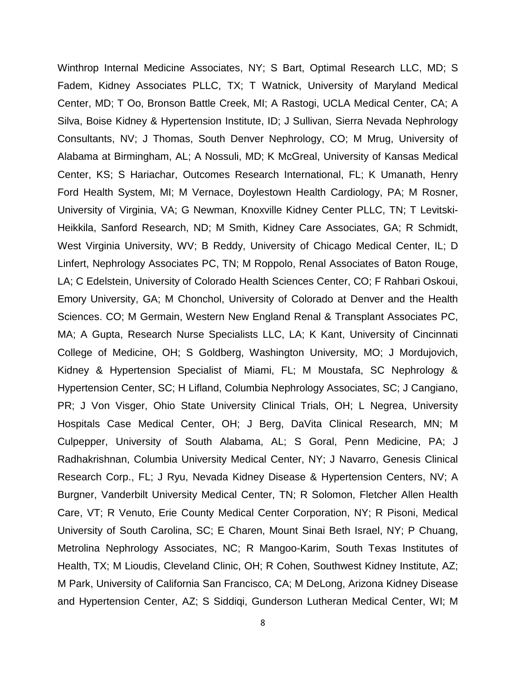Winthrop Internal Medicine Associates, NY; S Bart, Optimal Research LLC, MD; S Fadem, Kidney Associates PLLC, TX; T Watnick, University of Maryland Medical Center, MD; T Oo, Bronson Battle Creek, MI; A Rastogi, UCLA Medical Center, CA; A Silva, Boise Kidney & Hypertension Institute, ID; J Sullivan, Sierra Nevada Nephrology Consultants, NV; J Thomas, South Denver Nephrology, CO; M Mrug, University of Alabama at Birmingham, AL; A Nossuli, MD; K McGreal, University of Kansas Medical Center, KS; S Hariachar, Outcomes Research International, FL; K Umanath, Henry Ford Health System, MI; M Vernace, Doylestown Health Cardiology, PA; M Rosner, University of Virginia, VA; G Newman, Knoxville Kidney Center PLLC, TN; T Levitski-Heikkila, Sanford Research, ND; M Smith, Kidney Care Associates, GA; R Schmidt, West Virginia University, WV; B Reddy, University of Chicago Medical Center, IL; D Linfert, Nephrology Associates PC, TN; M Roppolo, Renal Associates of Baton Rouge, LA; C Edelstein, University of Colorado Health Sciences Center, CO; F Rahbari Oskoui, Emory University, GA; M Chonchol, University of Colorado at Denver and the Health Sciences. CO; M Germain, Western New England Renal & Transplant Associates PC, MA; A Gupta, Research Nurse Specialists LLC, LA; K Kant, University of Cincinnati College of Medicine, OH; S Goldberg, Washington University, MO; J Mordujovich, Kidney & Hypertension Specialist of Miami, FL; M Moustafa, SC Nephrology & Hypertension Center, SC; H Lifland, Columbia Nephrology Associates, SC; J Cangiano, PR; J Von Visger, Ohio State University Clinical Trials, OH; L Negrea, University Hospitals Case Medical Center, OH; J Berg, DaVita Clinical Research, MN; M Culpepper, University of South Alabama, AL; S Goral, Penn Medicine, PA; J Radhakrishnan, Columbia University Medical Center, NY; J Navarro, Genesis Clinical Research Corp., FL; J Ryu, Nevada Kidney Disease & Hypertension Centers, NV; A Burgner, Vanderbilt University Medical Center, TN; R Solomon, Fletcher Allen Health Care, VT; R Venuto, Erie County Medical Center Corporation, NY; R Pisoni, Medical University of South Carolina, SC; E Charen, Mount Sinai Beth Israel, NY; P Chuang, Metrolina Nephrology Associates, NC; R Mangoo-Karim, South Texas Institutes of Health, TX; M Lioudis, Cleveland Clinic, OH; R Cohen, Southwest Kidney Institute, AZ; M Park, University of California San Francisco, CA; M DeLong, Arizona Kidney Disease and Hypertension Center, AZ; S Siddiqi, Gunderson Lutheran Medical Center, WI; M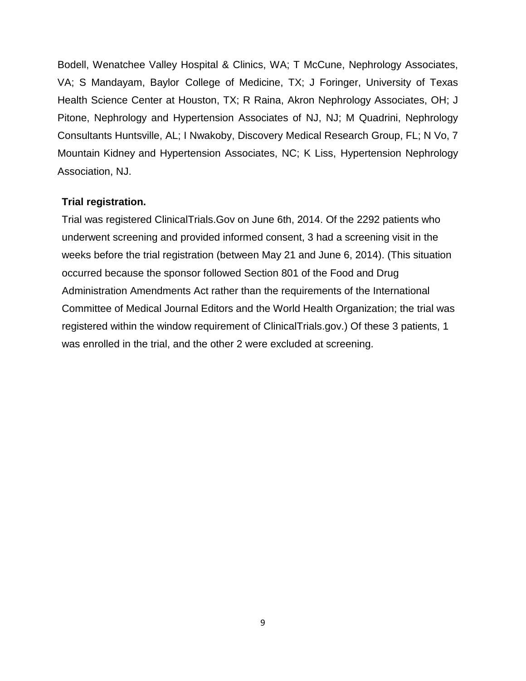Bodell, Wenatchee Valley Hospital & Clinics, WA; T McCune, Nephrology Associates, VA; S Mandayam, Baylor College of Medicine, TX; J Foringer, University of Texas Health Science Center at Houston, TX; R Raina, Akron Nephrology Associates, OH; J Pitone, Nephrology and Hypertension Associates of NJ, NJ; M Quadrini, Nephrology Consultants Huntsville, AL; I Nwakoby, Discovery Medical Research Group, FL; N Vo, 7 Mountain Kidney and Hypertension Associates, NC; K Liss, Hypertension Nephrology Association, NJ.

#### <span id="page-8-0"></span>**Trial registration.**

Trial was registered ClinicalTrials.Gov on June 6th, 2014. Of the 2292 patients who underwent screening and provided informed consent, 3 had a screening visit in the weeks before the trial registration (between May 21 and June 6, 2014). (This situation occurred because the sponsor followed Section 801 of the Food and Drug Administration Amendments Act rather than the requirements of the International Committee of Medical Journal Editors and the World Health Organization; the trial was registered within the window requirement of ClinicalTrials.gov.) Of these 3 patients, 1 was enrolled in the trial, and the other 2 were excluded at screening.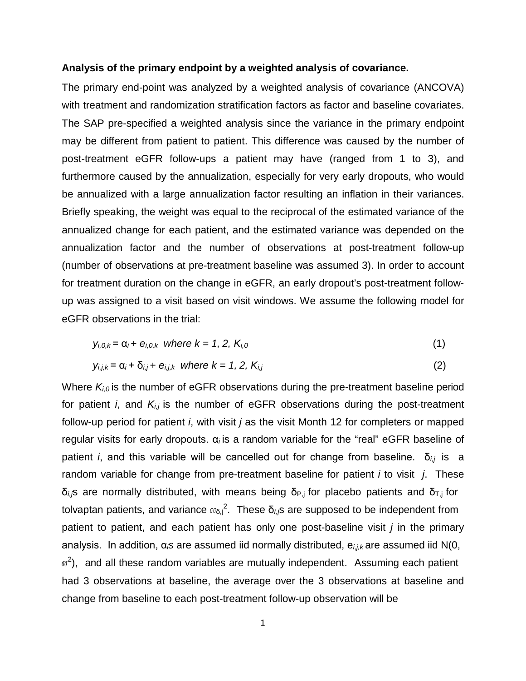#### **Analysis of the primary endpoint by a weighted analysis of covariance.**

The primary end-point was analyzed by a weighted analysis of covariance (ANCOVA) with treatment and randomization stratification factors as factor and baseline covariates. The SAP pre-specified a weighted analysis since the variance in the primary endpoint may be different from patient to patient. This difference was caused by the number of post-treatment eGFR follow-ups a patient may have (ranged from 1 to 3), and furthermore caused by the annualization, especially for very early dropouts, who would be annualized with a large annualization factor resulting an inflation in their variances. Briefly speaking, the weight was equal to the reciprocal of the estimated variance of the annualized change for each patient, and the estimated variance was depended on the annualization factor and the number of observations at post-treatment follow-up (number of observations at pre-treatment baseline was assumed 3). In order to account for treatment duration on the change in eGFR, an early dropout's post-treatment followup was assigned to a visit based on visit windows. We assume the following model for eGFR observations in the trial:

$$
y_{i,0,k} = \alpha_i + e_{i,0,k}
$$
 where  $k = 1, 2, K_{i,0}$  (1)

$$
y_{i,j,k} = \alpha_i + \delta_{i,j} + e_{i,j,k} \text{ where } k = 1, 2, K_{i,j}
$$
 (2)

Where  $K_{i,0}$  is the number of eGFR observations during the pre-treatment baseline period for patient *i*, and *Ki,j* is the number of eGFR observations during the post-treatment follow-up period for patient *i*, with visit *j* as the visit Month 12 for completers or mapped regular visits for early dropouts. α*i* is a random variable for the "real" eGFR baseline of patient *i*, and this variable will be cancelled out for change from baseline. δ*i,j* is a random variable for change from pre-treatment baseline for patient *i* to visit *j*. These δ<sub>i,</sub> $\delta$  are normally distributed, with means being δ<sub>P,j</sub> for placebo patients and δ<sub>T,j</sub> for tolvaptan patients, and variance  $\sigma_{\delta,j}$ <sup>2</sup>. These δ<sub>i,/</sub>s are supposed to be independent from patient to patient, and each patient has only one post-baseline visit *j* in the primary analysis. In addition, α*is* are assumed iid normally distributed, e*i,j,k* are assumed iid N(0,  $\mathit{w}^{2}$ ), and all these random variables are mutually independent. Assuming each patient had 3 observations at baseline, the average over the 3 observations at baseline and change from baseline to each post-treatment follow-up observation will be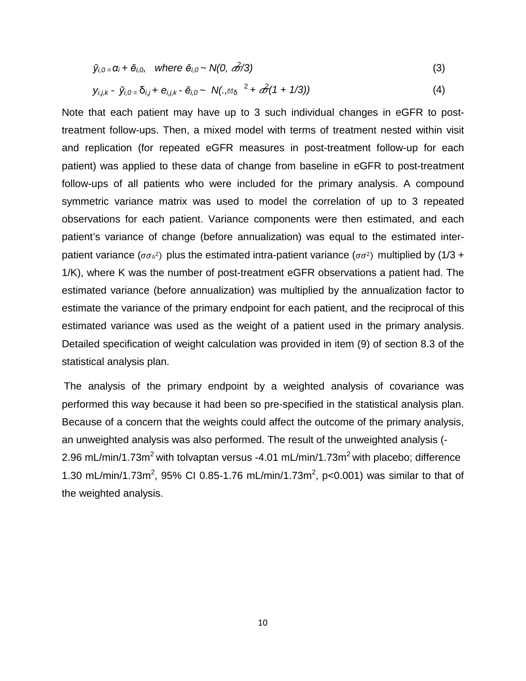$$
\bar{y}_{i,0} = \alpha_i + \bar{e}_{i,0}, \quad \text{where } \bar{e}_{i,0} \sim N(0, \frac{\partial^2}{\partial \theta^2})
$$
\n
$$
(3)
$$

$$
y_{i,j,k} - \bar{y}_{i,0} = \delta_{i,j} + e_{i,j,k} - \bar{e}_{i,0} \sim N(:,\bar{w}\delta^{-2} + \hat{\mathscr{O}}(1 + 1/3))
$$
\n(4)

Note that each patient may have up to 3 such individual changes in eGFR to posttreatment follow-ups. Then, a mixed model with terms of treatment nested within visit and replication (for repeated eGFR measures in post-treatment follow-up for each patient) was applied to these data of change from baseline in eGFR to post-treatment follow-ups of all patients who were included for the primary analysis. A compound symmetric variance matrix was used to model the correlation of up to 3 repeated observations for each patient. Variance components were then estimated, and each patient's variance of change (before annualization) was equal to the estimated interpatient variance ( $\sigma \sigma_{\delta}^2$ ) plus the estimated intra-patient variance ( $\sigma \sigma^2$ ) multiplied by (1/3 + 1/K), where K was the number of post-treatment eGFR observations a patient had. The estimated variance (before annualization) was multiplied by the annualization factor to estimate the variance of the primary endpoint for each patient, and the reciprocal of this estimated variance was used as the weight of a patient used in the primary analysis. Detailed specification of weight calculation was provided in item (9) of section 8.3 of the statistical analysis plan.

The analysis of the primary endpoint by a weighted analysis of covariance was performed this way because it had been so pre-specified in the statistical analysis plan. Because of a concern that the weights could affect the outcome of the primary analysis, an unweighted analysis was also performed. The result of the unweighted analysis (- 2.96 mL/min/1.73m<sup>2</sup> with tolvaptan versus -4.01 mL/min/1.73m<sup>2</sup> with placebo; difference 1.30 mL/min/1.73m<sup>2</sup>, 95% CI 0.85-1.76 mL/min/1.73m<sup>2</sup>, p<0.001) was similar to that of the weighted analysis.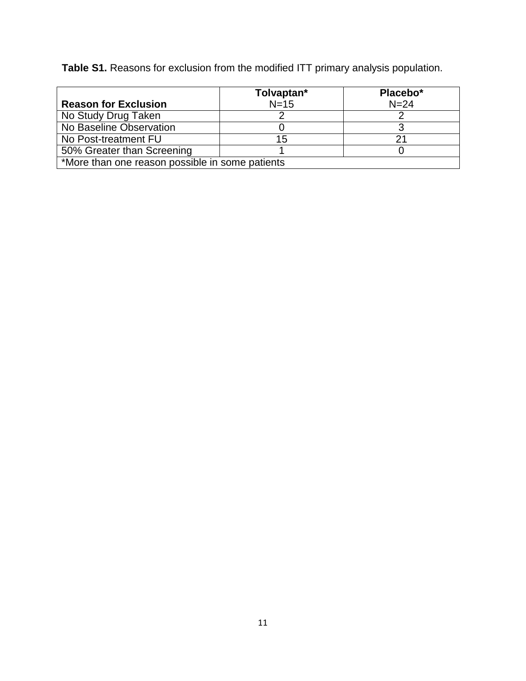**Table S1.** Reasons for exclusion from the modified ITT primary analysis population.

|                                                 | Tolvaptan* | Placebo* |  |  |  |  |  |
|-------------------------------------------------|------------|----------|--|--|--|--|--|
| <b>Reason for Exclusion</b>                     | $N=15$     | $N = 24$ |  |  |  |  |  |
| No Study Drug Taken                             |            |          |  |  |  |  |  |
| No Baseline Observation                         |            |          |  |  |  |  |  |
| No Post-treatment FU                            | 15         |          |  |  |  |  |  |
| 50% Greater than Screening                      |            |          |  |  |  |  |  |
| *More than one reason possible in some patients |            |          |  |  |  |  |  |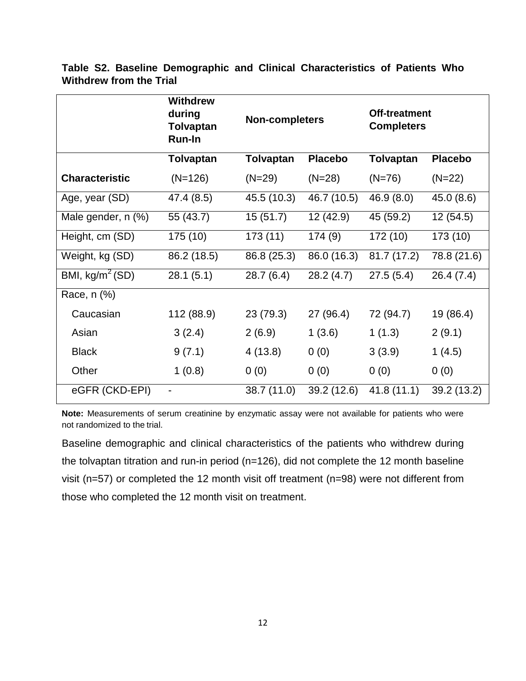|                       | <b>Withdrew</b><br>during<br>Tolvaptan<br>Run-In | <b>Non-completers</b> |                | <b>Off-treatment</b><br><b>Completers</b> |                |  |
|-----------------------|--------------------------------------------------|-----------------------|----------------|-------------------------------------------|----------------|--|
|                       | <b>Tolvaptan</b>                                 | <b>Tolvaptan</b>      | <b>Placebo</b> | <b>Tolvaptan</b>                          | <b>Placebo</b> |  |
| <b>Characteristic</b> | $(N=126)$                                        | $(N=29)$              | $(N=28)$       | $(N=76)$                                  | $(N=22)$       |  |
| Age, year (SD)        | 47.4 (8.5)                                       | 45.5 (10.3)           | 46.7 (10.5)    | 46.9 (8.0)                                | 45.0 (8.6)     |  |
| Male gender, n (%)    | 55 (43.7)                                        | 15(51.7)              | 12 (42.9)      | 45 (59.2)                                 | 12 (54.5)      |  |
| Height, cm (SD)       | 175 (10)                                         | 173 (11)              | 174(9)         | 172 (10)                                  | 173 (10)       |  |
| Weight, kg (SD)       | 86.2 (18.5)                                      | 86.8 (25.3)           | 86.0 (16.3)    | 81.7(17.2)                                | 78.8 (21.6)    |  |
| BMI, $kg/m^2(SD)$     | 28.1(5.1)                                        | 28.7(6.4)             | 28.2(4.7)      | 27.5(5.4)                                 | 26.4(7.4)      |  |
| Race, n (%)           |                                                  |                       |                |                                           |                |  |
| Caucasian             | 112 (88.9)                                       | 23 (79.3)             | 27 (96.4)      | 72 (94.7)                                 | 19 (86.4)      |  |
| Asian                 | 3(2.4)                                           | 2(6.9)                | 1(3.6)         | 1(1.3)                                    | 2(9.1)         |  |
| <b>Black</b>          | 9(7.1)                                           | 4(13.8)               | 0(0)           | 3(3.9)                                    | 1(4.5)         |  |
| Other                 | 1(0.8)                                           | 0(0)                  | 0(0)           | 0(0)                                      | 0(0)           |  |
| eGFR (CKD-EPI)        | -                                                | 38.7 (11.0)           | 39.2 (12.6)    | 41.8(11.1)                                | 39.2 (13.2)    |  |

**Table S2. Baseline Demographic and Clinical Characteristics of Patients Who Withdrew from the Trial**

**Note:** Measurements of serum creatinine by enzymatic assay were not available for patients who were not randomized to the trial.

Baseline demographic and clinical characteristics of the patients who withdrew during the tolvaptan titration and run-in period (n=126), did not complete the 12 month baseline visit (n=57) or completed the 12 month visit off treatment (n=98) were not different from those who completed the 12 month visit on treatment.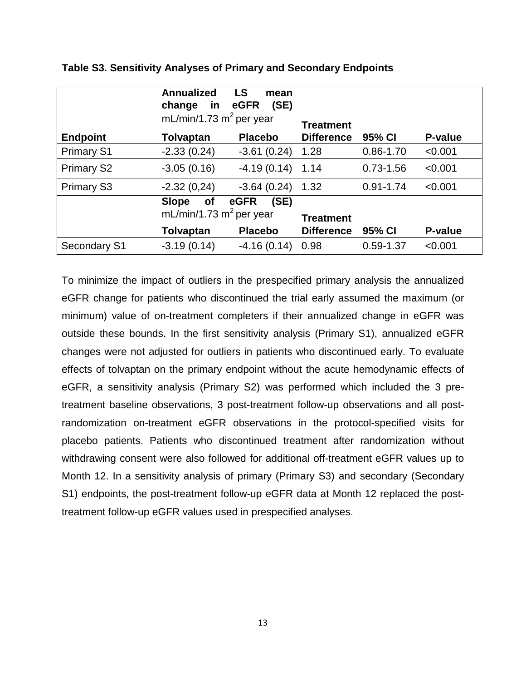|                   | <b>Annualized</b><br>change<br>in<br>mL/min/1.73 $m^2$ per year | <b>LS</b><br>mean<br>(SE)<br>eGFR |                                       |               |         |
|-------------------|-----------------------------------------------------------------|-----------------------------------|---------------------------------------|---------------|---------|
|                   |                                                                 | <b>Placebo</b>                    | <b>Treatment</b><br><b>Difference</b> | 95% CI        | P-value |
| <b>Endpoint</b>   | <b>Tolvaptan</b>                                                |                                   |                                       |               |         |
| <b>Primary S1</b> | $-2.33(0.24)$                                                   | $-3.61(0.24)$                     | 1.28                                  | $0.86 - 1.70$ | < 0.001 |
| <b>Primary S2</b> | $-3.05(0.16)$                                                   | $-4.19(0.14)$                     | 1.14                                  | $0.73 - 1.56$ | < 0.001 |
| <b>Primary S3</b> | $-2.32(0,24)$                                                   | $-3.64(0.24)$                     | 1.32                                  | $0.91 - 1.74$ | < 0.001 |
|                   | <b>Slope</b><br><b>of</b>                                       | (SE)<br>eGFR                      |                                       |               |         |
|                   | mL/min/1.73 $m^2$ per year                                      |                                   | <b>Treatment</b>                      |               |         |
|                   | <b>Tolvaptan</b>                                                | <b>Placebo</b>                    | <b>Difference</b>                     | 95% CI        | P-value |
| Secondary S1      | $-3.19(0.14)$                                                   | $-4.16(0.14)$                     | 0.98                                  | $0.59 - 1.37$ | < 0.001 |

|  | Table S3. Sensitivity Analyses of Primary and Secondary Endpoints |  |  |  |
|--|-------------------------------------------------------------------|--|--|--|
|--|-------------------------------------------------------------------|--|--|--|

To minimize the impact of outliers in the prespecified primary analysis the annualized eGFR change for patients who discontinued the trial early assumed the maximum (or minimum) value of on-treatment completers if their annualized change in eGFR was outside these bounds. In the first sensitivity analysis (Primary S1), annualized eGFR changes were not adjusted for outliers in patients who discontinued early. To evaluate effects of tolvaptan on the primary endpoint without the acute hemodynamic effects of eGFR, a sensitivity analysis (Primary S2) was performed which included the 3 pretreatment baseline observations, 3 post-treatment follow-up observations and all postrandomization on-treatment eGFR observations in the protocol-specified visits for placebo patients. Patients who discontinued treatment after randomization without withdrawing consent were also followed for additional off-treatment eGFR values up to Month 12. In a sensitivity analysis of primary (Primary S3) and secondary (Secondary S1) endpoints, the post-treatment follow-up eGFR data at Month 12 replaced the posttreatment follow-up eGFR values used in prespecified analyses.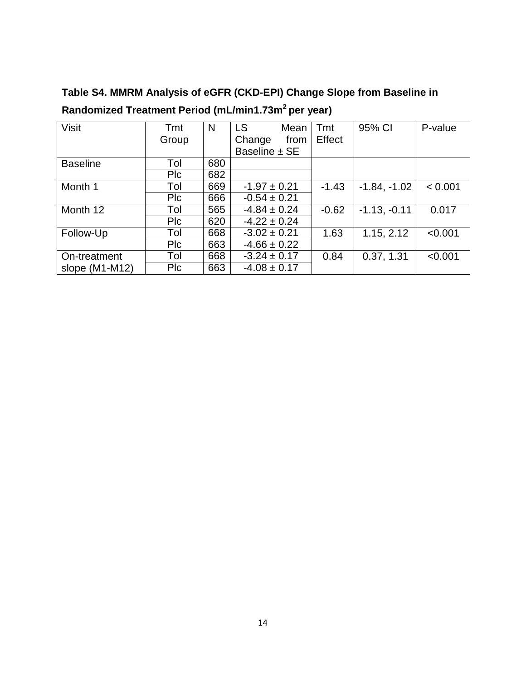| <b>Visit</b>     | Tmt        | N   | <b>LS</b>        | Mean | Tmt     | 95% CI         | P-value |
|------------------|------------|-----|------------------|------|---------|----------------|---------|
|                  | Group      |     | Change           | from | Effect  |                |         |
|                  |            |     | Baseline ± SE    |      |         |                |         |
| <b>Baseline</b>  | Tol        | 680 |                  |      |         |                |         |
|                  | <b>Plc</b> | 682 |                  |      |         |                |         |
| Month 1          | Tol        | 669 | $-1.97 \pm 0.21$ |      | $-1.43$ | $-1.84, -1.02$ | < 0.001 |
|                  | Plc        | 666 | $-0.54 \pm 0.21$ |      |         |                |         |
| Month 12         | Tol        | 565 | $-4.84 \pm 0.24$ |      | $-0.62$ | $-1.13, -0.11$ | 0.017   |
|                  | <b>Plc</b> | 620 | $-4.22 \pm 0.24$ |      |         |                |         |
| Follow-Up        | Tol        | 668 | $-3.02 \pm 0.21$ |      | 1.63    | 1.15, 2.12     | < 0.001 |
|                  | <b>Plc</b> | 663 | $-4.66 \pm 0.22$ |      |         |                |         |
| On-treatment     | Tol        | 668 | $-3.24 \pm 0.17$ |      | 0.84    | 0.37, 1.31     | < 0.001 |
| slope $(M1-M12)$ | <b>PIC</b> | 663 | $-4.08 \pm 0.17$ |      |         |                |         |

**Table S4. MMRM Analysis of eGFR (CKD-EPI) Change Slope from Baseline in Randomized Treatment Period (mL/min1.73m2 per year)**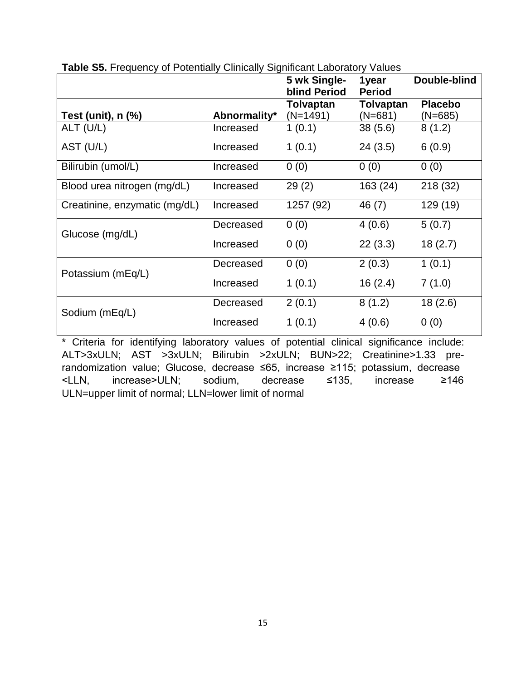|                               |              | 5 wk Single-<br><b>blind Period</b> | 1year<br><b>Period</b> | Double-blind                |
|-------------------------------|--------------|-------------------------------------|------------------------|-----------------------------|
| Test (unit), n (%)            | Abnormality* | Tolvaptan<br>$(N=1491)$             | Tolvaptan<br>(N=681)   | <b>Placebo</b><br>$(N=685)$ |
| ALT (U/L)                     | Increased    | 1(0.1)                              | 38(5.6)                | 8(1.2)                      |
| AST (U/L)                     | Increased    | 1(0.1)                              | 24(3.5)                | 6(0.9)                      |
| Bilirubin (umol/L)            | Increased    | 0(0)                                | 0(0)                   | 0(0)                        |
| Blood urea nitrogen (mg/dL)   | Increased    | 29(2)                               | 163 (24)               | 218 (32)                    |
| Creatinine, enzymatic (mg/dL) | Increased    | 1257 (92)                           | 46 (7)                 | 129 (19)                    |
| Glucose (mg/dL)               | Decreased    | 0(0)                                | 4(0.6)                 | 5(0.7)                      |
|                               | Increased    | 0(0)                                | 22(3.3)                | 18(2.7)                     |
| Potassium (mEq/L)             | Decreased    | 0(0)                                | 2(0.3)                 | 1(0.1)                      |
|                               | Increased    | 1(0.1)                              | 16(2.4)                | 7(1.0)                      |
| Sodium (mEq/L)                | Decreased    | 2(0.1)                              | 8(1.2)                 | 18(2.6)                     |
|                               | Increased    | 1(0.1)                              | 4(0.6)                 | 0(0)                        |

**Table S5. Frequency of Potentially Clinically Significant Laboratory Values** 

\* Criteria for identifying laboratory values of potential clinical significance include: ALT>3xULN; AST >3xULN; Bilirubin >2xULN; BUN>22; Creatinine>1.33 prerandomization value; Glucose, decrease ≤65, increase ≥115; potassium, decrease <LLN, increase>ULN; sodium, decrease ≤135, increase ≥146 ULN=upper limit of normal; LLN=lower limit of normal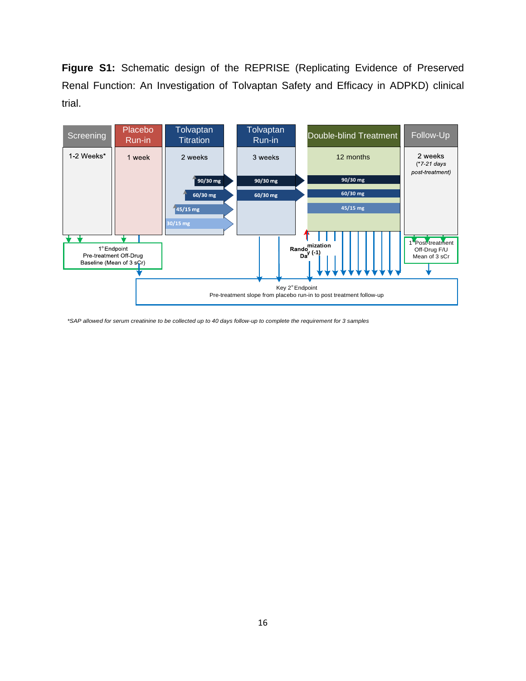**Figure S1:** Schematic design of the REPRISE (Replicating Evidence of Preserved Renal Function: An Investigation of Tolvaptan Safety and Efficacy in ADPKD) clinical trial.



*\*SAP allowed for serum creatinine to be collected up to 40 days follow-up to complete the requirement for 3 samples*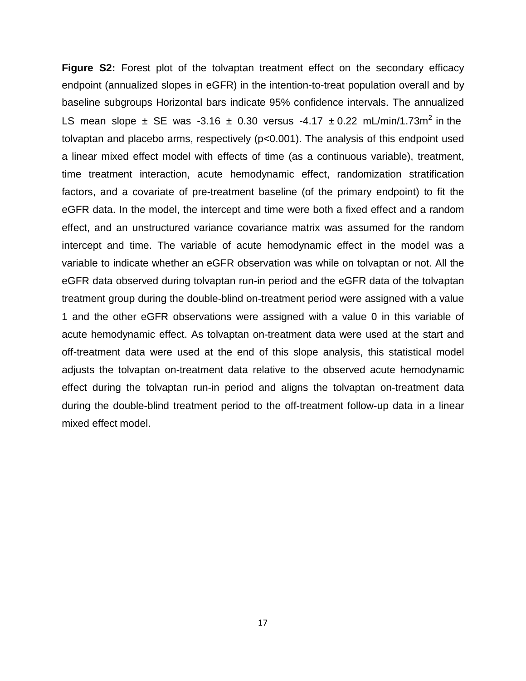**Figure S2:** Forest plot of the tolvaptan treatment effect on the secondary efficacy endpoint (annualized slopes in eGFR) in the intention-to-treat population overall and by baseline subgroups Horizontal bars indicate 95% confidence intervals. The annualized LS mean slope  $\pm$  SE was -3.16  $\pm$  0.30 versus -4.17  $\pm$  0.22 mL/min/1.73m<sup>2</sup> in the tolvaptan and placebo arms, respectively (p<0.001). The analysis of this endpoint used a linear mixed effect model with effects of time (as a continuous variable), treatment, time treatment interaction, acute hemodynamic effect, randomization stratification factors, and a covariate of pre-treatment baseline (of the primary endpoint) to fit the eGFR data. In the model, the intercept and time were both a fixed effect and a random effect, and an unstructured variance covariance matrix was assumed for the random intercept and time. The variable of acute hemodynamic effect in the model was a variable to indicate whether an eGFR observation was while on tolvaptan or not. All the eGFR data observed during tolvaptan run-in period and the eGFR data of the tolvaptan treatment group during the double-blind on-treatment period were assigned with a value 1 and the other eGFR observations were assigned with a value 0 in this variable of acute hemodynamic effect. As tolvaptan on-treatment data were used at the start and off-treatment data were used at the end of this slope analysis, this statistical model adjusts the tolvaptan on-treatment data relative to the observed acute hemodynamic effect during the tolvaptan run-in period and aligns the tolvaptan on-treatment data during the double-blind treatment period to the off-treatment follow-up data in a linear mixed effect model.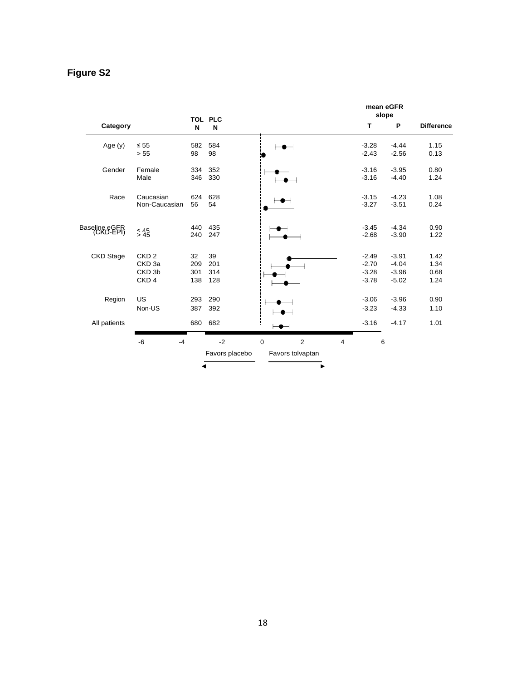### **Figure S2**

|                  |                             |     |                |             | mean eGFR<br>slope          |                |         |         |                   |
|------------------|-----------------------------|-----|----------------|-------------|-----------------------------|----------------|---------|---------|-------------------|
| Category         |                             | N   | TOL PLC<br>N   |             |                             |                | T       | P       | <b>Difference</b> |
| Age $(y)$        | $\leq 55$                   | 582 | 584            |             | $\bullet$ $\hspace{0.05cm}$ |                | $-3.28$ | $-4.44$ | 1.15              |
|                  | > 55                        | 98  | 98             |             |                             |                | $-2.43$ | $-2.56$ | 0.13              |
| Gender           | Female                      | 334 | 352            |             |                             |                | $-3.16$ | $-3.95$ | 0.80              |
|                  | Male                        | 346 | 330            |             |                             |                | $-3.16$ | $-4.40$ | 1.24              |
| Race             | Caucasian                   | 624 | 628            |             |                             |                | $-3.15$ | $-4.23$ | 1.08              |
|                  | Non-Caucasian               | 56  | 54             |             |                             |                | $-3.27$ | $-3.51$ | 0.24              |
| Baseling e CER   | $<$ $\triangle$ $\triangle$ | 440 | 435            |             |                             |                | $-3.45$ | $-4.34$ | 0.90              |
|                  | > 45                        | 240 | 247            |             |                             |                | $-2.68$ | $-3.90$ | 1.22              |
| <b>CKD</b> Stage | CKD <sub>2</sub>            | 32  | 39             |             |                             |                | $-2.49$ | $-3.91$ | 1.42              |
|                  | CKD <sub>3a</sub>           | 209 | 201            |             |                             |                | $-2.70$ | $-4.04$ | 1.34              |
|                  | CKD <sub>3b</sub>           | 301 | 314            |             |                             |                | $-3.28$ | $-3.96$ | 0.68              |
|                  | CKD <sub>4</sub>            | 138 | 128            |             |                             |                | $-3.78$ | $-5.02$ | 1.24              |
| Region           | US                          | 293 | 290            |             |                             |                | $-3.06$ | $-3.96$ | 0.90              |
|                  | Non-US                      | 387 | 392            |             |                             |                | $-3.23$ | $-4.33$ | 1.10              |
| All patients     |                             |     | 680 682        |             |                             |                | $-3.16$ | $-4.17$ | 1.01              |
|                  | $-6$<br>$-4$                |     | $-2$           | $\mathbf 0$ | 2                           | $\overline{4}$ | 6       |         |                   |
|                  |                             |     | Favors placebo |             | Favors tolvaptan            |                |         |         |                   |
|                  |                             | ◀   |                |             | ▶                           |                |         |         |                   |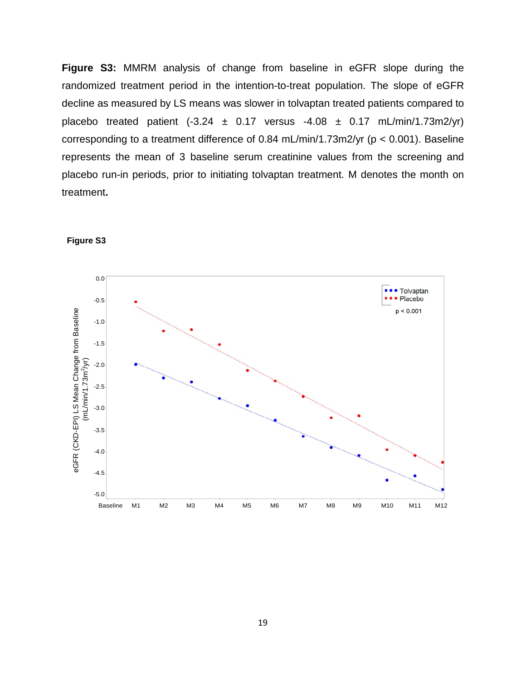**Figure S3:** MMRM analysis of change from baseline in eGFR slope during the randomized treatment period in the intention-to-treat population. The slope of eGFR decline as measured by LS means was slower in tolvaptan treated patients compared to placebo treated patient  $(-3.24 \pm 0.17$  versus  $-4.08 \pm 0.17$  mL/min/1.73m2/yr) corresponding to a treatment difference of 0.84 mL/min/1.73m2/yr (p < 0.001). Baseline represents the mean of 3 baseline serum creatinine values from the screening and placebo run-in periods, prior to initiating tolvaptan treatment. M denotes the month on treatment**.**



#### **Figure S3**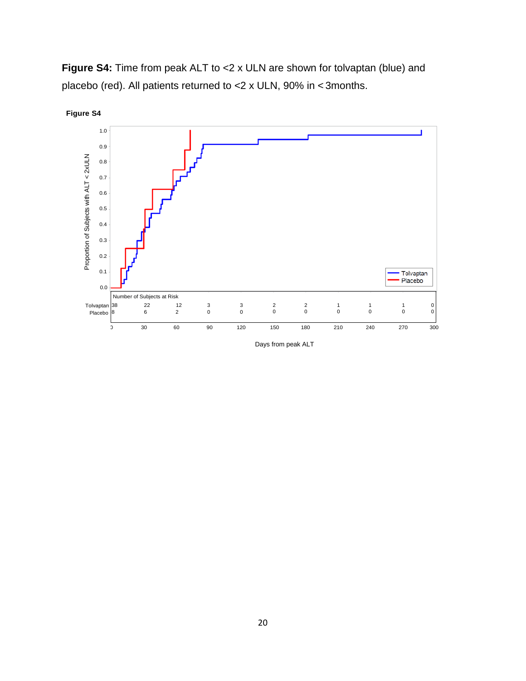

**Figure S4:** Time from peak ALT to <2 x ULN are shown for tolvaptan (blue) and placebo (red). All patients returned to <2 x ULN, 90% in < 3months.